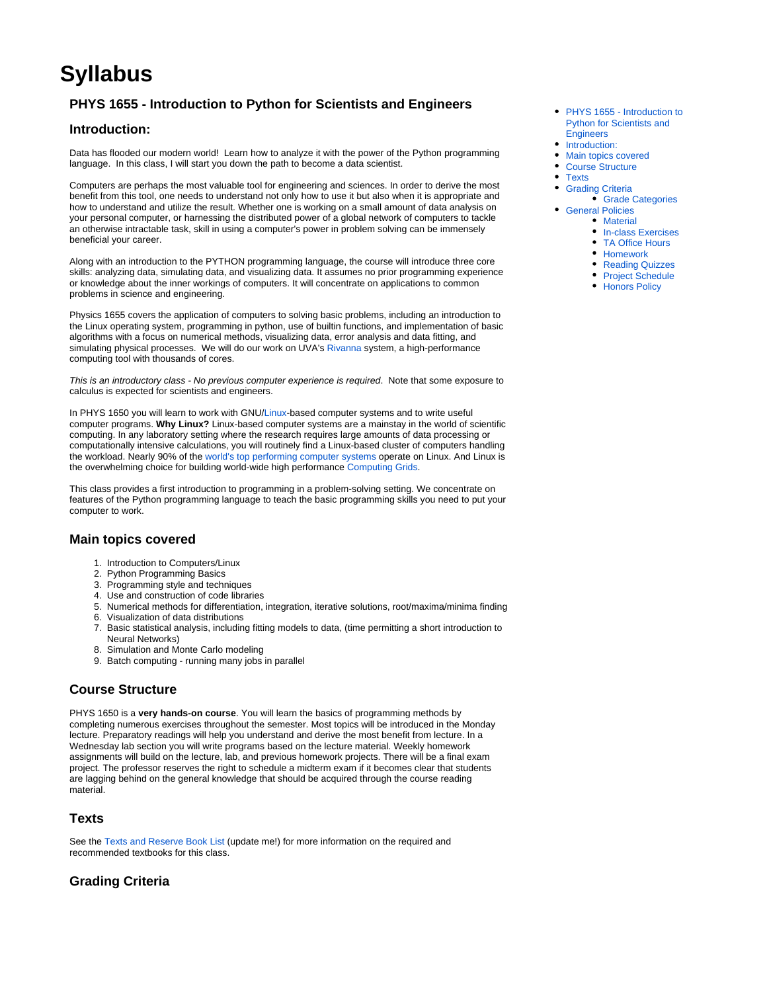# **Syllabus**

# <span id="page-0-0"></span>**PHYS 1655 - Introduction to Python for Scientists and Engineers**

# <span id="page-0-1"></span>**Introduction:**

Data has flooded our modern world! Learn how to analyze it with the power of the Python programming language. In this class, I will start you down the path to become a data scientist.

Computers are perhaps the most valuable tool for engineering and sciences. In order to derive the most benefit from this tool, one needs to understand not only how to use it but also when it is appropriate and how to understand and utilize the result. Whether one is working on a small amount of data analysis on your personal computer, or harnessing the distributed power of a global network of computers to tackle an otherwise intractable task, skill in using a computer's power in problem solving can be immensely beneficial your career.

Along with an introduction to the PYTHON programming language, the course will introduce three core skills: analyzing data, simulating data, and visualizing data. It assumes no prior programming experience or knowledge about the inner workings of computers. It will concentrate on applications to common problems in science and engineering.

Physics 1655 covers the application of computers to solving basic problems, including an introduction to the Linux operating system, programming in python, use of builtin functions, and implementation of basic algorithms with a focus on numerical methods, visualizing data, error analysis and data fitting, and simulating physical processes. We will do our work on UVA's [Rivanna](https://www.rc.virginia.edu/userinfo/rivanna/overview/) system, a high-performance computing tool with thousands of cores.

This is an introductory class - No previous computer experience is required. Note that some exposure to calculus is expected for scientists and engineers.

In PHYS 1650 you will learn to work with GNU/[Linux-](http://en.wikipedia.org/wiki/Linux)based computer systems and to write useful computer programs. **Why Linux?** Linux-based computer systems are a mainstay in the world of scientific computing. In any laboratory setting where the research requires large amounts of data processing or computationally intensive calculations, you will routinely find a Linux-based cluster of computers handling the workload. Nearly 90% of the [world's top performing computer systems](http://www.top500.org/) operate on Linux. And Linux is the overwhelming choice for building world-wide high performance [Computing Grids.](http://www.opensciencegrid.org)

This class provides a first introduction to programming in a problem-solving setting. We concentrate on features of the Python programming language to teach the basic programming skills you need to put your computer to work.

# <span id="page-0-2"></span>**Main topics covered**

- 1. Introduction to Computers/Linux
- 2. Python Programming Basics
- 3. Programming style and techniques
- 4. Use and construction of code libraries
- 5. Numerical methods for differentiation, integration, iterative solutions, root/maxima/minima finding 6. Visualization of data distributions
- 7. Basic statistical analysis, including fitting models to data, (time permitting a short introduction to Neural Networks)
- 8. Simulation and Monte Carlo modeling
- 9. Batch computing running many jobs in parallel

# <span id="page-0-3"></span>**Course Structure**

PHYS 1650 is a **very hands-on course**. You will learn the basics of programming methods by completing numerous exercises throughout the semester. Most topics will be introduced in the Monday lecture. Preparatory readings will help you understand and derive the most benefit from lecture. In a Wednesday lab section you will write programs based on the lecture material. Weekly homework assignments will build on the lecture, lab, and previous homework projects. There will be a final exam project. The professor reserves the right to schedule a midterm exam if it becomes clear that students are lagging behind on the general knowledge that should be acquired through the course reading material.

# <span id="page-0-4"></span>**Texts**

See the [Texts and Reserve Book List](https://confluence.its.virginia.edu/display/22S/Text+Books) (update me!) for more information on the required and recommended textbooks for this class.

# <span id="page-0-5"></span>**Grading Criteria**

- PHYS 1655 Introduction to [Python for Scientists and](#page-0-0)  **[Engineers](#page-0-0)**
- [Introduction:](#page-0-1)
- [Main topics covered](#page-0-2)
- [Course Structure](#page-0-3)
- [Texts](#page-0-4)
	-
- [Grading Criteria](#page-0-5)
- [Grade Categories](#page-1-0) • [General Policies](#page-1-1)
	- [Material](#page-1-2)
		- [In-class Exercises](#page-1-3)
		- [TA Office Hours](#page-1-4)
		- [Homework](#page-1-5)
		- [Reading Quizzes](#page-1-6)
		- [Project Schedule](#page-2-0)
		- [Honors Policy](#page-2-1)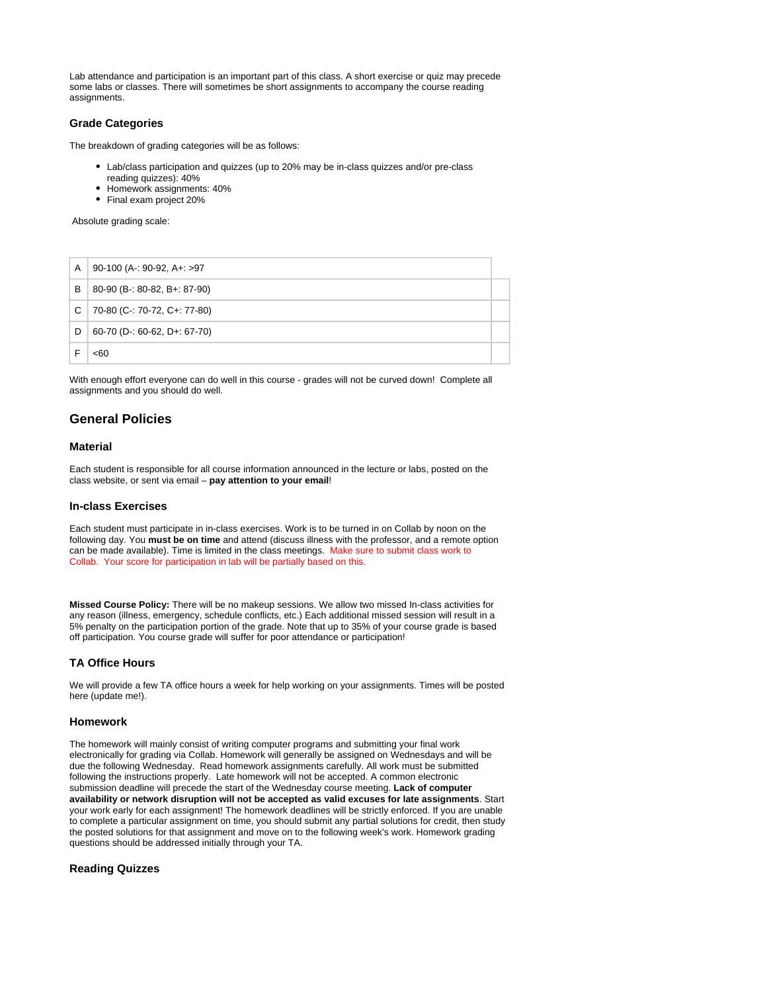Lab attendance and participation is an important part of this class. A short exercise or quiz may precede some labs or classes. There will sometimes be short assignments to accompany the course reading assignments.

## <span id="page-1-0"></span>**Grade Categories**

The breakdown of grading categories will be as follows:

- Lab/class participation and quizzes (up to 20% may be in-class quizzes and/or pre-class reading quizzes): 40%
- Homework assignments: 40%
- Final exam project 20%

Absolute grading scale:

| A | 90-100 (A-: 90-92, A+: >97   |  |
|---|------------------------------|--|
| B | 80-90 (B-: 80-82, B+: 87-90) |  |
| C | 70-80 (C-: 70-72, C+: 77-80) |  |
| D | 60-70 (D-: 60-62, D+: 67-70) |  |
|   | <60                          |  |

With enough effort everyone can do well in this course - grades will not be curved down! Complete all assignments and you should do well.

# <span id="page-1-1"></span>**General Policies**

#### <span id="page-1-2"></span>**Material**

Each student is responsible for all course information announced in the lecture or labs, posted on the class website, or sent via email – **pay attention to your email**!

#### <span id="page-1-3"></span>**In-class Exercises**

Each student must participate in in-class exercises. Work is to be turned in on Collab by noon on the following day. You **must be on time** and attend (discuss illness with the professor, and a remote option can be made available). Time is limited in the class meetings. Make sure to submit class work to Collab. Your score for participation in lab will be partially based on this.

**Missed Course Policy:** There will be no makeup sessions. We allow two missed In-class activities for any reason (illness, emergency, schedule conflicts, etc.) Each additional missed session will result in a 5% penalty on the participation portion of the grade. Note that up to 35% of your course grade is based off participation. You course grade will suffer for poor attendance or participation!

#### <span id="page-1-4"></span>**TA Office Hours**

We will provide a few TA office hours a week for help working on your assignments. Times will be posted here (update me!).

## <span id="page-1-5"></span>**Homework**

The homework will mainly consist of writing computer programs and submitting your final work electronically for grading via Collab. Homework will generally be assigned on Wednesdays and will be due the following Wednesday. Read homework assignments carefully. All work must be submitted following the instructions properly. Late homework will not be accepted. A common electronic submission deadline will precede the start of the Wednesday course meeting. **Lack of computer availability or network disruption will not be accepted as valid excuses for late assignments**. Start your work early for each assignment! The homework deadlines will be strictly enforced. If you are unable to complete a particular assignment on time, you should submit any partial solutions for credit, then study the posted solutions for that assignment and move on to the following week's work. Homework grading questions should be addressed initially through your TA.

### <span id="page-1-6"></span>**Reading Quizzes**